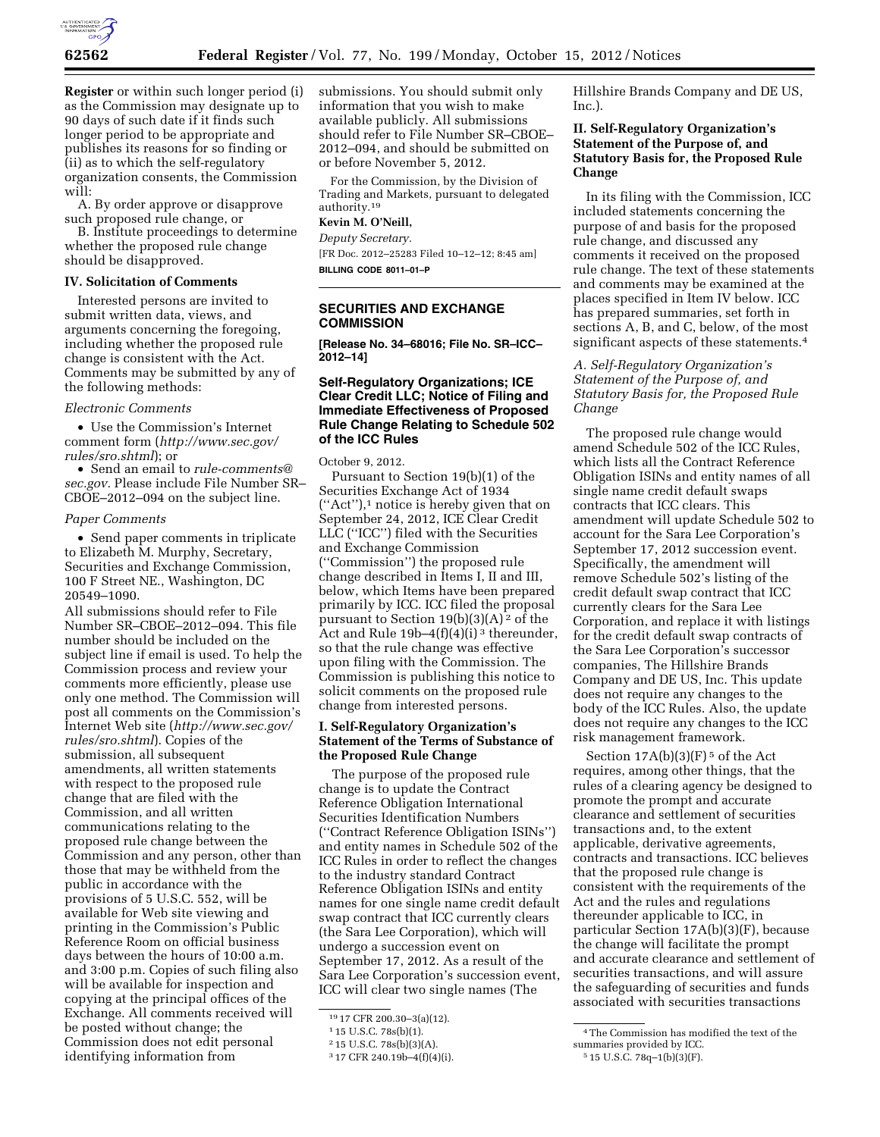

**Register** or within such longer period (i) as the Commission may designate up to 90 days of such date if it finds such longer period to be appropriate and publishes its reasons for so finding or (ii) as to which the self-regulatory organization consents, the Commission will:

A. By order approve or disapprove such proposed rule change, or

B. Institute proceedings to determine whether the proposed rule change should be disapproved.

#### **IV. Solicitation of Comments**

Interested persons are invited to submit written data, views, and arguments concerning the foregoing, including whether the proposed rule change is consistent with the Act. Comments may be submitted by any of the following methods:

#### *Electronic Comments*

• Use the Commission's Internet comment form (*[http://www.sec.gov/](http://www.sec.gov/rules/sro.shtml) [rules/sro.shtml](http://www.sec.gov/rules/sro.shtml)*); or

• Send an email to *[rule-comments@](mailto:rule-comments@sec.gov) [sec.gov.](mailto:rule-comments@sec.gov)* Please include File Number SR– CBOE–2012–094 on the subject line.

### *Paper Comments*

• Send paper comments in triplicate to Elizabeth M. Murphy, Secretary, Securities and Exchange Commission, 100 F Street NE., Washington, DC 20549–1090.

All submissions should refer to File Number SR–CBOE–2012–094. This file number should be included on the subject line if email is used. To help the Commission process and review your comments more efficiently, please use only one method. The Commission will post all comments on the Commission's Internet Web site (*[http://www.sec.gov/](http://www.sec.gov/rules/sro.shtml) [rules/sro.shtml](http://www.sec.gov/rules/sro.shtml)*). Copies of the submission, all subsequent amendments, all written statements with respect to the proposed rule change that are filed with the Commission, and all written communications relating to the proposed rule change between the Commission and any person, other than those that may be withheld from the public in accordance with the provisions of 5 U.S.C. 552, will be available for Web site viewing and printing in the Commission's Public Reference Room on official business days between the hours of 10:00 a.m. and 3:00 p.m. Copies of such filing also will be available for inspection and copying at the principal offices of the Exchange. All comments received will be posted without change; the Commission does not edit personal identifying information from

submissions. You should submit only information that you wish to make available publicly. All submissions should refer to File Number SR–CBOE– 2012–094, and should be submitted on or before November 5, 2012.

For the Commission, by the Division of Trading and Markets, pursuant to delegated authority.19

### **Kevin M. O'Neill,**

*Deputy Secretary.*  [FR Doc. 2012–25283 Filed 10–12–12; 8:45 am] **BILLING CODE 8011–01–P** 

## **SECURITIES AND EXCHANGE COMMISSION**

**[Release No. 34–68016; File No. SR–ICC– 2012–14]** 

### **Self-Regulatory Organizations; ICE Clear Credit LLC; Notice of Filing and Immediate Effectiveness of Proposed Rule Change Relating to Schedule 502 of the ICC Rules**

October 9, 2012.

Pursuant to Section 19(b)(1) of the Securities Exchange Act of 1934 (''Act''),1 notice is hereby given that on September 24, 2012, ICE Clear Credit LLC (''ICC'') filed with the Securities and Exchange Commission (''Commission'') the proposed rule change described in Items I, II and III, below, which Items have been prepared primarily by ICC. ICC filed the proposal pursuant to Section  $19(b)(3)(A)<sup>2</sup>$  of the Act and Rule  $19b-4(f)(4)(i)$ <sup>3</sup> thereunder, so that the rule change was effective upon filing with the Commission. The Commission is publishing this notice to solicit comments on the proposed rule change from interested persons.

### **I. Self-Regulatory Organization's Statement of the Terms of Substance of the Proposed Rule Change**

The purpose of the proposed rule change is to update the Contract Reference Obligation International Securities Identification Numbers (''Contract Reference Obligation ISINs'') and entity names in Schedule 502 of the ICC Rules in order to reflect the changes to the industry standard Contract Reference Obligation ISINs and entity names for one single name credit default swap contract that ICC currently clears (the Sara Lee Corporation), which will undergo a succession event on September 17, 2012. As a result of the Sara Lee Corporation's succession event, ICC will clear two single names (The

Hillshire Brands Company and DE US, Inc.).

### **II. Self-Regulatory Organization's Statement of the Purpose of, and Statutory Basis for, the Proposed Rule Change**

In its filing with the Commission, ICC included statements concerning the purpose of and basis for the proposed rule change, and discussed any comments it received on the proposed rule change. The text of these statements and comments may be examined at the places specified in Item IV below. ICC has prepared summaries, set forth in sections A, B, and C, below, of the most significant aspects of these statements.4

# *A. Self-Regulatory Organization's Statement of the Purpose of, and Statutory Basis for, the Proposed Rule Change*

The proposed rule change would amend Schedule 502 of the ICC Rules, which lists all the Contract Reference Obligation ISINs and entity names of all single name credit default swaps contracts that ICC clears. This amendment will update Schedule 502 to account for the Sara Lee Corporation's September 17, 2012 succession event. Specifically, the amendment will remove Schedule 502's listing of the credit default swap contract that ICC currently clears for the Sara Lee Corporation, and replace it with listings for the credit default swap contracts of the Sara Lee Corporation's successor companies, The Hillshire Brands Company and DE US, Inc. This update does not require any changes to the body of the ICC Rules. Also, the update does not require any changes to the ICC risk management framework.

Section  $17A(b)(3)(F)$ <sup>5</sup> of the Act requires, among other things, that the rules of a clearing agency be designed to promote the prompt and accurate clearance and settlement of securities transactions and, to the extent applicable, derivative agreements, contracts and transactions. ICC believes that the proposed rule change is consistent with the requirements of the Act and the rules and regulations thereunder applicable to ICC, in particular Section 17A(b)(3)(F), because the change will facilitate the prompt and accurate clearance and settlement of securities transactions, and will assure the safeguarding of securities and funds associated with securities transactions

<sup>19</sup> 17 CFR 200.30–3(a)(12).

<sup>1</sup> 15 U.S.C. 78s(b)(1).

<sup>2</sup> 15 U.S.C. 78s(b)(3)(A).

<sup>3</sup> 17 CFR 240.19b–4(f)(4)(i).

<sup>4</sup>The Commission has modified the text of the summaries provided by ICC.

<sup>5</sup> 15 U.S.C. 78q–1(b)(3)(F).